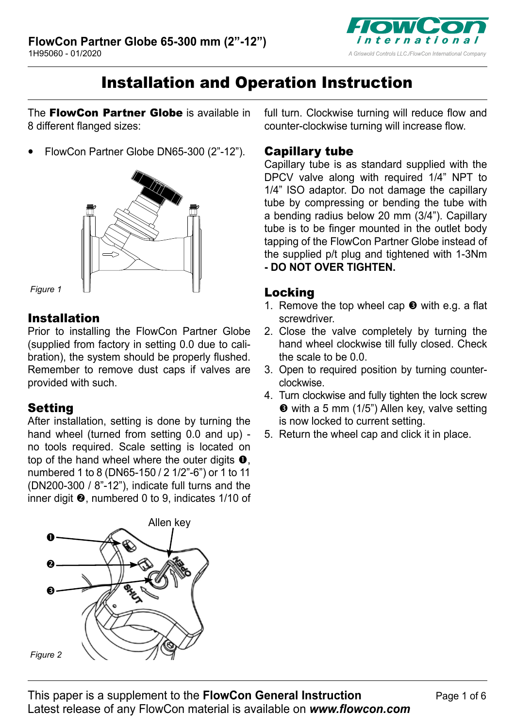

# Installation and Operation Instruction

The **FlowCon Partner Globe** is available in 8 different flanged sizes:

**•** FlowCon Partner Globe DN65-300 (2"-12").



*Figure 1*

### Installation

Prior to installing the FlowCon Partner Globe (supplied from factory in setting 0.0 due to calibration), the system should be properly flushed. Remember to remove dust caps if valves are provided with such.

# **Setting**

After installation, setting is done by turning the hand wheel (turned from setting 0.0 and up) no tools required. Scale setting is located on top of the hand wheel where the outer digits  $\mathbf{0}$ , numbered 1 to 8 (DN65-150 / 2 1/2"-6") or 1 to 11 (DN200-300 /  $8"$ -12"), indicate full turns and the inner digit  $\Theta$ , numbered 0 to 9, indicates 1/10 of



full turn. Clockwise turning will reduce flow and counter-clockwise turning will increase flow.

### Capillary tube

Capillary tube is as standard supplied with the DPCV valve along with required 1/4" NPT to 1/4" ISO adaptor. Do not damage the capillary tube by compressing or bending the tube with a bending radius below 20 mm (3/4"). Capillary tube is to be finger mounted in the outlet body tapping of the FlowCon Partner Globe instead of the supplied p/t plug and tightened with 1-3Nm **- DO NOT OVER TIGHTEN.**

## Locking

- 1. Remove the top wheel cap  $\Theta$  with e.g. a flat screwdriver.
- 2. Close the valve completely by turning the hand wheel clockwise till fully closed. Check the scale to be 0.0.
- 3. Open to required position by turning counterclockwise.
- 4. Turn clockwise and fully tighten the lock screw with a 5 mm (1/5") Allen key, valve setting is now locked to current setting.
- 5. Return the wheel cap and click it in place.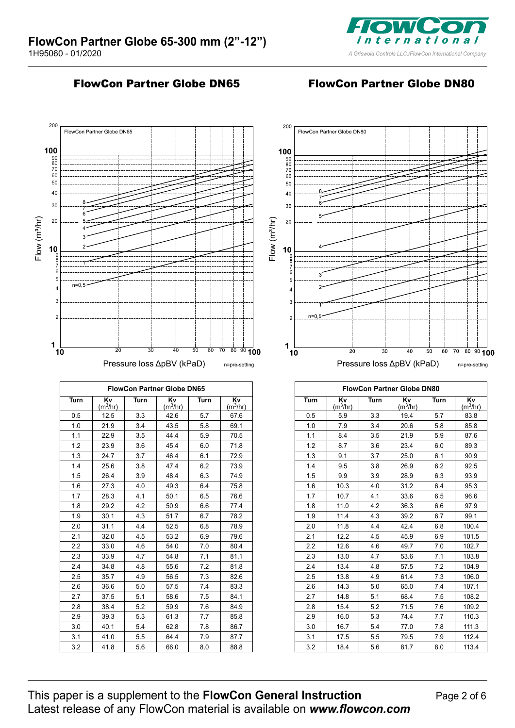

#### FlowCon Partner Globe DN65 FlowCon Partner Globe DN80

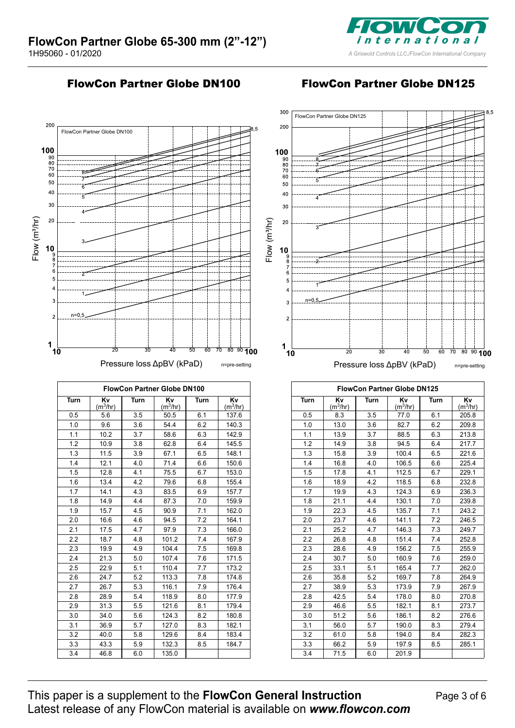

FlowCon Partner Globe DN100 FlowCon Partner Globe DN125



| <b>FlowCon Partner Globe DN100</b> |                            |      |                            |      |                            |  |  |
|------------------------------------|----------------------------|------|----------------------------|------|----------------------------|--|--|
| Turn                               | Kv<br>(m <sup>3</sup> /hr) | Turn | Κv<br>(m <sup>3</sup> /hr) | Turn | Kv<br>(m <sup>3</sup> /hr) |  |  |
| 0.5                                | 5.6                        | 3.5  | 50.5                       | 6.1  | 137.6                      |  |  |
| 1.0                                | 9.6                        | 3.6  | 54.4                       | 6.2  | 140.3                      |  |  |
| 1.1                                | 10.2                       | 3.7  | 58.6                       | 6.3  | 142.9                      |  |  |
| 1.2                                | 10.9                       | 3.8  | 62.8                       | 6.4  | 145.5                      |  |  |
| 1.3                                | 11.5                       | 3.9  | 67.1                       | 6.5  | 148.1                      |  |  |
| 1.4                                | 12.1                       | 4.0  | 71.4                       | 6.6  | 150.6                      |  |  |
| 1.5                                | 12.8                       | 4.1  | 75.5                       | 6.7  | 153.0                      |  |  |
| 1.6                                | 13.4                       | 4.2  | 79.6                       | 6.8  | 155.4                      |  |  |
| 1.7                                | 14.1                       | 4.3  | 83.5                       | 6.9  | 157.7                      |  |  |
| 1.8                                | 14.9                       | 4.4  | 87.3                       | 7.0  | 159.9                      |  |  |
| 1.9                                | 15.7                       | 4.5  | 90.9                       | 7.1  | 162.0                      |  |  |
| 2.0                                | 16.6                       | 4.6  | 94.5                       | 7.2  | 164.1                      |  |  |
| 2.1                                | 17.5                       | 4.7  | 97.9                       | 7.3  | 166.0                      |  |  |
| 2.2                                | 18.7                       | 4.8  | 101.2                      | 7.4  | 167.9                      |  |  |
| 2.3                                | 19.9                       | 4.9  | 104.4                      | 7.5  | 169.8                      |  |  |
| 2.4                                | 21.3                       | 5.0  | 107.4                      | 7.6  | 171.5                      |  |  |
| 2.5                                | 22.9                       | 5.1  | 110.4                      | 7.7  | 173.2                      |  |  |
| 2.6                                | 24.7                       | 5.2  | 113.3                      | 7.8  | 174.8                      |  |  |
| 2.7                                | 26.7                       | 5.3  | 116.1                      | 7.9  | 176.4                      |  |  |
| 2.8                                | 28.9                       | 5.4  | 118.9                      | 8.0  | 177.9                      |  |  |
| 2.9                                | 31.3                       | 5.5  | 121.6                      | 8.1  | 179.4                      |  |  |
| 3.0                                | 34.0                       | 5.6  | 124.3                      | 8.2  | 180.8                      |  |  |
| 3.1                                | 36.9                       | 5.7  | 127.0                      | 8.3  | 182.1                      |  |  |
| 3.2                                | 40.0                       | 5.8  | 129.6                      | 8.4  | 183.4                      |  |  |
| 3.3                                | 43.3                       | 5.9  | 132.3                      | 8.5  | 184.7                      |  |  |
| 3.4                                | 46.8                       | 6.0  | 135.0                      |      |                            |  |  |



| <b>FlowCon Partner Globe DN125</b> |                            |      |                            |      |                            |  |  |
|------------------------------------|----------------------------|------|----------------------------|------|----------------------------|--|--|
| Turn                               | Kv<br>(m <sup>3</sup> /hr) | Turn | Kv<br>(m <sup>3</sup> /hr) | Turn | Kv<br>(m <sup>3</sup> /hr) |  |  |
| 0.5                                | 8.3                        | 3.5  | 77.0                       | 6.1  | 205.8                      |  |  |
| 1.0                                | 13.0                       | 3.6  | 82.7                       | 6.2  | 209.8                      |  |  |
| 1.1                                | 13.9                       | 3.7  | 88.5                       | 6.3  | 213.8                      |  |  |
| 1.2                                | 14.9                       | 3.8  | 94.5                       | 6.4  | 217.7                      |  |  |
| 1.3                                | 15.8                       | 3.9  | 100.4                      | 6.5  | 221.6                      |  |  |
| 1.4                                | 16.8                       | 4.0  | 106.5                      | 6.6  | 225.4                      |  |  |
| 1.5                                | 17.8                       | 4.1  | 112.5                      | 6.7  | 229.1                      |  |  |
| 1.6                                | 18.9                       | 4.2  | 118.5                      | 6.8  | 232.8                      |  |  |
| 1.7                                | 19.9                       | 4.3  | 124.3                      | 6.9  | 236.3                      |  |  |
| 1.8                                | 21.1                       | 4.4  | 130.1                      | 7.0  | 239.8                      |  |  |
| 1.9                                | 22.3                       | 4.5  | 135.7                      | 7.1  | 243.2                      |  |  |
| 2.0                                | 23.7                       | 4.6  | 141.1                      | 7.2  | 246.5                      |  |  |
| 2.1                                | 25.2                       | 4.7  | 146.3                      | 7.3  | 249.7                      |  |  |
| 2.2                                | 26.8                       | 4.8  | 151.4                      | 7.4  | 252.8                      |  |  |
| 2.3                                | 28.6                       | 4.9  | 156.2                      | 7.5  | 255.9                      |  |  |
| 2.4                                | 30.7                       | 5.0  | 160.9                      | 7.6  | 259.0                      |  |  |
| 2.5                                | 33.1                       | 5.1  | 165.4                      | 7.7  | 262.0                      |  |  |
| 2.6                                | 35.8                       | 5.2  | 169.7                      | 7.8  | 264.9                      |  |  |
| 2.7                                | 38.9                       | 5.3  | 173.9                      | 7.9  | 267.9                      |  |  |
| 2.8                                | 42.5                       | 5.4  | 178.0                      | 8.0  | 270.8                      |  |  |
| 2.9                                | 46.6                       | 5.5  | 182.1                      | 8.1  | 273.7                      |  |  |
| 3.0                                | 51.2                       | 5.6  | 186.1                      | 8.2  | 276.6                      |  |  |
| 3.1                                | 56.0                       | 5.7  | 190.0                      | 8.3  | 279.4                      |  |  |
| 3.2                                | 61.0                       | 5.8  | 194.0                      | 8.4  | 282.3                      |  |  |
| 3.3                                | 66.2                       | 5.9  | 197.9                      | 8.5  | 285.1                      |  |  |
| 3.4                                | 71.5                       | 6.0  | 201.9                      |      |                            |  |  |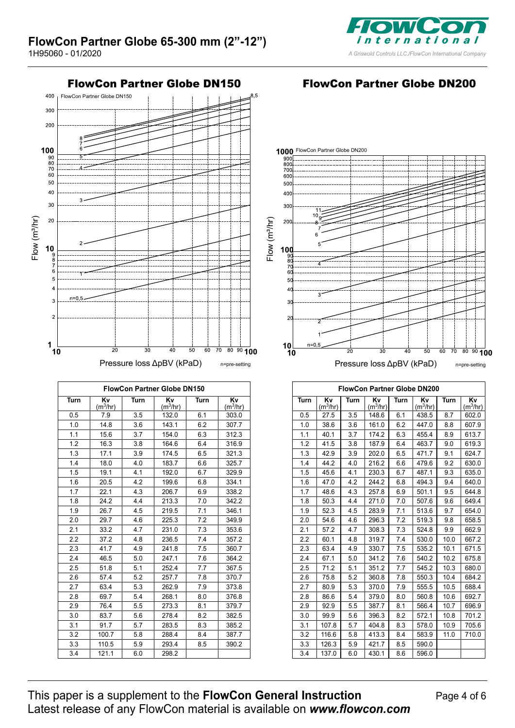



| FlowCon Partner Globe DN150 |                            |      |                            |      |                            |  |  |  |
|-----------------------------|----------------------------|------|----------------------------|------|----------------------------|--|--|--|
| Turn                        | Κv<br>(m <sup>3</sup> /hr) | Turn | Κv<br>(m <sup>3</sup> /hr) | Turn | Κv<br>(m <sup>3</sup> /hr) |  |  |  |
| 0.5                         | 7.9                        | 3.5  | 132.0                      | 6.1  | 303.0                      |  |  |  |
| 1.0                         | 14.8                       | 3.6  | 143.1                      | 6.2  | 307.7                      |  |  |  |
| 1.1                         | 15.6                       | 3.7  | 154.0                      | 6.3  | 312.3                      |  |  |  |
| 1.2                         | 16.3                       | 3.8  | 164.6                      | 6.4  | 316.9                      |  |  |  |
| 1.3                         | 17.1                       | 3.9  | 174.5                      | 6.5  | 321.3                      |  |  |  |
| 1.4                         | 18.0                       | 4.0  | 183.7                      | 6.6  | 325.7                      |  |  |  |
| 1.5                         | 19.1                       | 4.1  | 192.0                      | 6.7  | 329.9                      |  |  |  |
| 1.6                         | 20.5                       | 4.2  | 199.6                      | 6.8  | 334.1                      |  |  |  |
| 1.7                         | 22.1                       | 4.3  | 206.7                      | 6.9  | 338.2                      |  |  |  |
| 1.8                         | 24.2                       | 4.4  | 213.3                      | 7.0  | 342.2                      |  |  |  |
| 1.9                         | 26.7                       | 4.5  | 219.5                      | 7.1  | 346.1                      |  |  |  |
| 2.0                         | 29.7                       | 4.6  | 225.3                      | 7.2  | 349.9                      |  |  |  |
| 2.1                         | 33.2                       | 4.7  | 231.0                      | 7.3  | 353.6                      |  |  |  |
| 2.2                         | 37.2                       | 4.8  | 236.5                      | 7.4  | 357.2                      |  |  |  |
| 2.3                         | 41.7                       | 4.9  | 241.8                      | 7.5  | 360.7                      |  |  |  |
| 2.4                         | 46.5                       | 5.0  | 247.1                      | 7.6  | 364.2                      |  |  |  |
| 2.5                         | 51.8                       | 5.1  | 252.4                      | 7.7  | 367.5                      |  |  |  |
| 2.6                         | 57.4                       | 5.2  | 257.7                      | 7.8  | 370.7                      |  |  |  |
| 2.7                         | 63.4                       | 5.3  | 262.9                      | 7.9  | 373.8                      |  |  |  |
| 2.8                         | 69.7                       | 5.4  | 268.1                      | 8.0  | 376.8                      |  |  |  |
| 2.9                         | 76.4                       | 5.5  | 273.3                      | 8.1  | 379.7                      |  |  |  |
| 3.0                         | 83.7                       | 5.6  | 278.4                      | 8.2  | 382.5                      |  |  |  |
| 3.1                         | 91.7                       | 5.7  | 283.5                      | 8.3  | 385.2                      |  |  |  |
| 3.2                         | 100.7                      | 5.8  | 288.4                      | 8.4  | 387.7                      |  |  |  |
| 3.3                         | 110.5                      | 5.9  | 293.4                      | 8.5  | 390.2                      |  |  |  |
| 3.4                         | 121.1                      | 6.0  | 298.2                      |      |                            |  |  |  |

#### FlowCon Partner Globe DN150 FlowCon Partner Globe DN200



| <b>FlowCon Partner Globe DN200</b> |                            |      |                            |      |                            |      |                  |
|------------------------------------|----------------------------|------|----------------------------|------|----------------------------|------|------------------|
| Turn                               | Κv<br>(m <sup>3</sup> /hr) | Turn | Kv<br>(m <sup>3</sup> /hr) | Turn | Kv<br>(m <sup>3</sup> /hr) | Turn | Kv<br>$(m^3/hr)$ |
| 0.5                                | 27.5                       | 3.5  | 148.6                      | 6.1  | 438.5                      | 8.7  | 602.0            |
| 1.0                                | 38.6                       | 3.6  | 161.0                      | 6.2  | 447.0                      | 8.8  | 607.9            |
| 1.1                                | 40.1                       | 3.7  | 174.2                      | 6.3  | 455.4                      | 8.9  | 613.7            |
| 1.2                                | 41.5                       | 3.8  | 187.9                      | 6.4  | 463.7                      | 9.0  | 619.3            |
| 1.3                                | 42.9                       | 3.9  | 202.0                      | 6.5  | 471.7                      | 9.1  | 624.7            |
| 1.4                                | 44.2                       | 4.0  | 216.2                      | 6.6  | 479.6                      | 9.2  | 630.0            |
| 1.5                                | 45.6                       | 4.1  | 230.3                      | 6.7  | 487.1                      | 9.3  | 635.0            |
| 1.6                                | 47.0                       | 4.2  | 244.2                      | 6.8  | 494.3                      | 9.4  | 640.0            |
| 1.7                                | 48.6                       | 4.3  | 257.8                      | 6.9  | 501.1                      | 9.5  | 644.8            |
| 1.8                                | 50.3                       | 4.4  | 271.0                      | 7.0  | 507.6                      | 9.6  | 649.4            |
| 1.9                                | 52.3                       | 4.5  | 283.9                      | 7.1  | 513.6                      | 9.7  | 654.0            |
| 2.0                                | 54.6                       | 4.6  | 296.3                      | 7.2  | 519.3                      | 9.8  | 658.5            |
| 2.1                                | 57.2                       | 4.7  | 308.3                      | 7.3  | 524.8                      | 9.9  | 662.9            |
| 2.2                                | 60.1                       | 4.8  | 319.7                      | 7.4  | 530.0                      | 10.0 | 667.2            |
| 2.3                                | 63.4                       | 4.9  | 330.7                      | 7.5  | 535.2                      | 10.1 | 671.5            |
| 2.4                                | 67.1                       | 5.0  | 341.2                      | 7.6  | 540.2                      | 10.2 | 675.8            |
| 2.5                                | 71.2                       | 5.1  | 351.2                      | 7.7  | 545.2                      | 10.3 | 680.0            |
| 2.6                                | 75.8                       | 5.2  | 360.8                      | 7.8  | 550.3                      | 10.4 | 684.2            |
| 2.7                                | 80.9                       | 5.3  | 370.0                      | 7.9  | 555.5                      | 10.5 | 688.4            |
| 2.8                                | 86.6                       | 5.4  | 379.0                      | 8.0  | 560.8                      | 10.6 | 692.7            |
| 2.9                                | 92.9                       | 5.5  | 387.7                      | 8.1  | 566.4                      | 10.7 | 696.9            |
| 3.0                                | 99.9                       | 5.6  | 396.3                      | 8.2  | 572.1                      | 10.8 | 701.2            |
| 3.1                                | 107.8                      | 5.7  | 404.8                      | 8.3  | 578.0                      | 10.9 | 705.6            |
| 3.2                                | 116.6                      | 5.8  | 413.3                      | 8.4  | 583.9                      | 11.0 | 710.0            |
| 3.3                                | 126.3                      | 5.9  | 421.7                      | 8.5  | 590.0                      |      |                  |
| 3.4                                | 137.0                      | 6.0  | 430.1                      | 8.6  | 596.0                      |      |                  |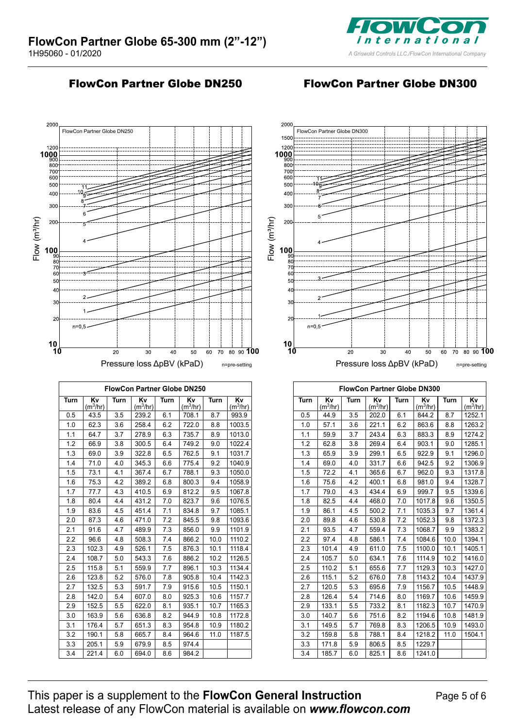

### FlowCon Partner Globe DN250 FlowCon Partner Globe DN300



![](_page_4_Figure_5.jpeg)

| <b>FlowCon Partner Globe DN300</b> |                            |      |                            |      |                            |      |                            |  |
|------------------------------------|----------------------------|------|----------------------------|------|----------------------------|------|----------------------------|--|
| Turn                               | Κv<br>(m <sup>3</sup> /hr) | Turn | Κv<br>(m <sup>3</sup> /hr) | Turn | Κv<br>(m <sup>3</sup> /hr) | Turn | Kv<br>(m <sup>3</sup> /hr) |  |
| 0.5                                | 44.9                       | 3.5  | 202.0                      | 6.1  | 844.2                      | 8.7  | 1252.1                     |  |
| 1.0                                | 57.1                       | 3.6  | 221.1                      | 6.2  | 863.6                      | 8.8  | 1263.2                     |  |
| 1.1                                | 59.9                       | 3.7  | 243.4                      | 6.3  | 883.3                      | 8.9  | 1274.2                     |  |
| 1.2                                | 62.8                       | 3.8  | 269.4                      | 6.4  | 903.1                      | 9.0  | 1285.1                     |  |
| 1.3                                | 65.9                       | 3.9  | 299.1                      | 6.5  | 922.9                      | 9.1  | 1296.0                     |  |
| 1.4                                | 69.0                       | 4.0  | 331.7                      | 6.6  | 942.5                      | 9.2  | 1306.9                     |  |
| 1.5                                | 72.2                       | 4.1  | 365.6                      | 6.7  | 962.0                      | 9.3  | 1317.8                     |  |
| 1.6                                | 75.6                       | 4.2  | 400.1                      | 6.8  | 981.0                      | 9.4  | 1328.7                     |  |
| 1.7                                | 79.0                       | 4.3  | 434.4                      | 6.9  | 999.7                      | 9.5  | 1339.6                     |  |
| 1.8                                | 82.5                       | 4.4  | 468.0                      | 7.0  | 1017.8                     | 9.6  | 1350.5                     |  |
| 1.9                                | 86.1                       | 4.5  | 500.2                      | 7.1  | 1035.3                     | 9.7  | 1361.4                     |  |
| 2.0                                | 89.8                       | 4.6  | 530.8                      | 7.2  | 1052.3                     | 9.8  | 1372.3                     |  |
| 2.1                                | 93.5                       | 4.7  | 559.4                      | 7.3  | 1068.7                     | 9.9  | 1383.2                     |  |
| 2.2                                | 97.4                       | 4.8  | 586.1                      | 7.4  | 1084.6                     | 10.0 | 1394.1                     |  |
| 2.3                                | 101.4                      | 4.9  | 611.0                      | 7.5  | 1100.0                     | 10.1 | 1405.1                     |  |
| 2.4                                | 105.7                      | 5.0  | 634.1                      | 7.6  | 1114.9                     | 10.2 | 1416.0                     |  |
| 2.5                                | 110.2                      | 5.1  | 655.6                      | 7.7  | 1129.3                     | 10.3 | 1427.0                     |  |
| 2.6                                | 115.1                      | 5.2  | 676.0                      | 7.8  | 1143.2                     | 10.4 | 1437.9                     |  |
| 2.7                                | 120.5                      | 5.3  | 695.6                      | 7.9  | 1156.7                     | 10.5 | 1448.9                     |  |
| 2.8                                | 126.4                      | 5.4  | 714.6                      | 8.0  | 1169.7                     | 10.6 | 1459.9                     |  |
| 2.9                                | 133.1                      | 5.5  | 733.2                      | 8.1  | 1182.3                     | 10.7 | 1470.9                     |  |
| 3.0                                | 140.7                      | 5.6  | 751.6                      | 8.2  | 1194.6                     | 10.8 | 1481.9                     |  |
| 3.1                                | 149.5                      | 5.7  | 769.8                      | 8.3  | 1206.5                     | 10.9 | 1493.0                     |  |
| 3.2                                | 159.8                      | 5.8  | 788.1                      | 8.4  | 1218.2                     | 11.0 | 1504.1                     |  |
| 3.3                                | 171.8                      | 5.9  | 806.5                      | 8.5  | 1229.7                     |      |                            |  |
| 3.4                                | 185.7                      | 6.0  | 825.1                      | 8.6  | 1241.0                     |      |                            |  |